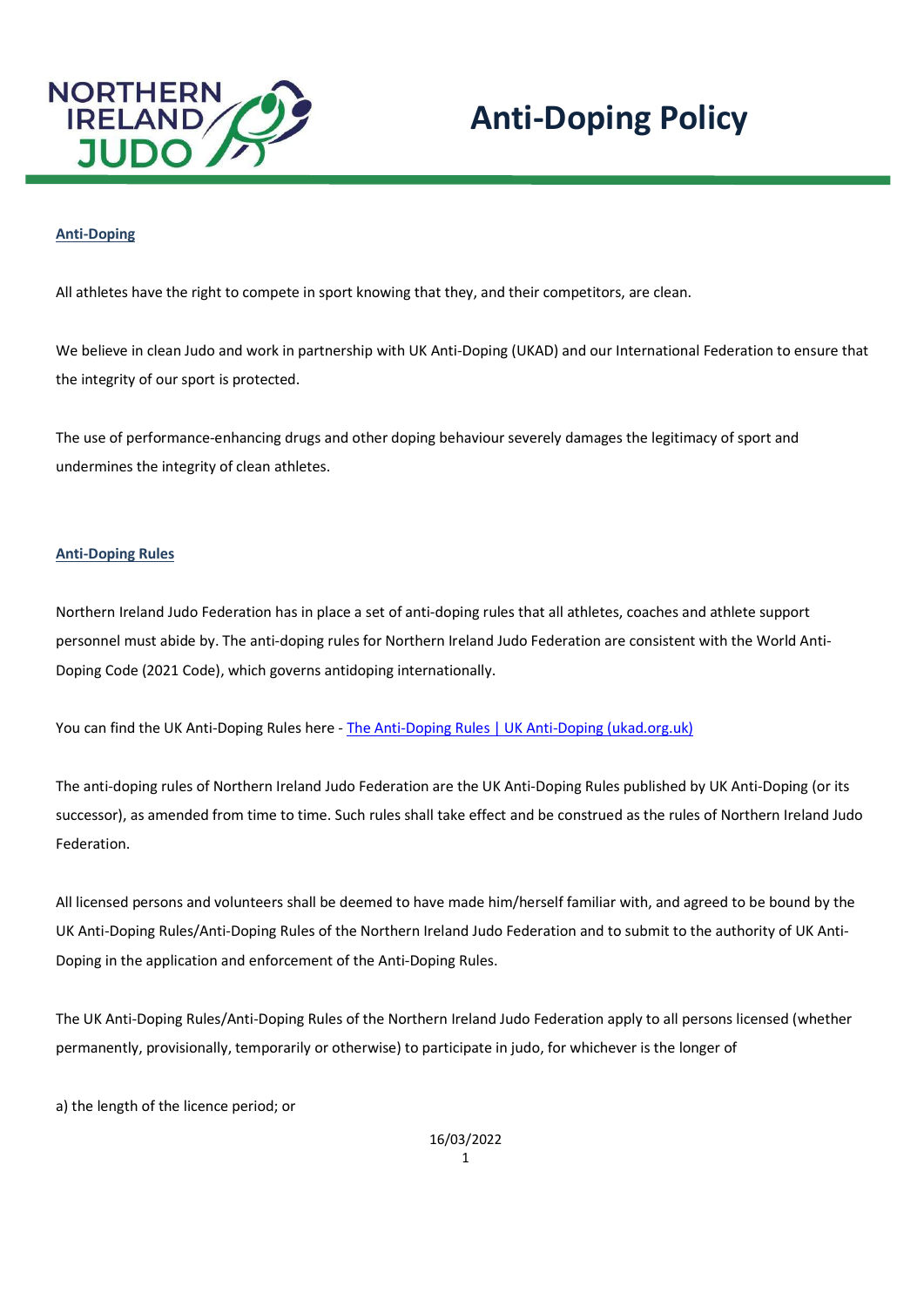

# Anti-Doping Policy

### Anti-Doping

All athletes have the right to compete in sport knowing that they, and their competitors, are clean.

We believe in clean Judo and work in partnership with UK Anti-Doping (UKAD) and our International Federation to ensure that the integrity of our sport is protected.

The use of performance-enhancing drugs and other doping behaviour severely damages the legitimacy of sport and undermines the integrity of clean athletes.

## Anti-Doping Rules

Northern Ireland Judo Federation has in place a set of anti-doping rules that all athletes, coaches and athlete support personnel must abide by. The anti-doping rules for Northern Ireland Judo Federation are consistent with the World Anti-Doping Code (2021 Code), which governs antidoping internationally.

You can find the UK Anti-Doping Rules here - The Anti-Doping Rules | UK Anti-Doping (ukad.org.uk)

The anti-doping rules of Northern Ireland Judo Federation are the UK Anti-Doping Rules published by UK Anti-Doping (or its successor), as amended from time to time. Such rules shall take effect and be construed as the rules of Northern Ireland Judo Federation.

All licensed persons and volunteers shall be deemed to have made him/herself familiar with, and agreed to be bound by the UK Anti-Doping Rules/Anti-Doping Rules of the Northern Ireland Judo Federation and to submit to the authority of UK Anti-Doping in the application and enforcement of the Anti-Doping Rules.

The UK Anti-Doping Rules/Anti-Doping Rules of the Northern Ireland Judo Federation apply to all persons licensed (whether permanently, provisionally, temporarily or otherwise) to participate in judo, for whichever is the longer of

a) the length of the licence period; or